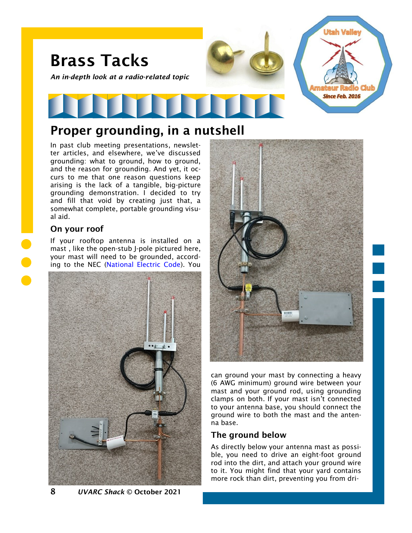

# Proper grounding, in a nutshell

In past club meeting presentations, newsletter articles, and elsewhere, we've discussed grounding: what to ground, how to ground, and the reason for grounding. And yet, it occurs to me that one reason questions keep arising is the lack of a tangible, big-picture grounding demonstration. I decided to try and fill that void by creating just that, a somewhat complete, portable grounding visual aid.

## On your roof

If your rooftop antenna is installed on a mast , like the open-stub J-pole pictured here, your mast will need to be grounded, according to the NEC [\(National Electric Code\).](https://en.wikipedia.org/wiki/National_Electrical_Code) You





can ground your mast by connecting a heavy (6 AWG minimum) ground wire between your mast and your ground rod, using grounding clamps on both. If your mast isn't connected to your antenna base, you should connect the ground wire to both the mast and the antenna base.

## The ground below

As directly below your antenna mast as possible, you need to drive an eight-foot ground rod into the dirt, and attach your ground wire to it. You might find that your yard contains more rock than dirt, preventing you from dri-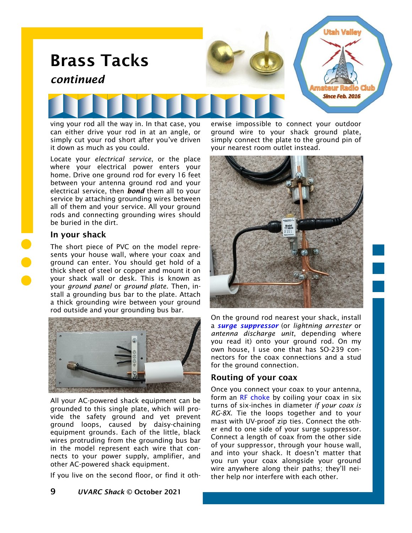

Locate your *electrical service*, or the place where your electrical power enters your home. Drive one ground rod for every 16 feet between your antenna ground rod and your electrical service, then *bond* them all to your service by attaching grounding wires between all of them and your service. All your ground rods and connecting grounding wires should be buried in the dirt.

it down as much as you could.

#### In your shack

The short piece of PVC on the model represents your house wall, where your coax and ground can enter. You should get hold of a thick sheet of steel or copper and mount it on your shack wall or desk. This is known as your *ground panel* or *ground plate*. Then, install a grounding bus bar to the plate. Attach a thick grounding wire between your ground rod outside and your grounding bus bar.



All your AC-powered shack equipment can be grounded to this single plate, which will provide the safety ground and yet prevent ground loops, caused by daisy-chaining equipment grounds. Each of the little, black wires protruding from the grounding bus bar in the model represent each wire that connects to your power supply, amplifier, and other AC-powered shack equipment.

If you live on the second floor, or find it oth-

simply connect the plate to the ground pin of your nearest room outlet instead.



On the ground rod nearest your shack, install a *[surge suppressor](https://www.hamradio.com/detail.cfm?pid=H0-005101)* (or *lightning arrester* or *antenna discharge unit*, depending where you read it) onto your ground rod. On my own house, I use one that has SO-239 connectors for the coax connections and a stud for the ground connection.

## Routing of your coax

Once you connect your coax to your antenna, form an [RF choke](https://noji.com/hamradio/pdf-ppt/noji/Noji-Article-RF-Chokes.pdf) by coiling your coax in six turns of six-inches in diameter *if your coax is RG-8X*. Tie the loops together and to your mast with UV-proof zip ties. Connect the other end to one side of your surge suppressor. Connect a length of coax from the other side of your suppressor, through your house wall, and into your shack. It doesn't matter that you run your coax alongside your ground wire anywhere along their paths; they'll neither help nor interfere with each other.